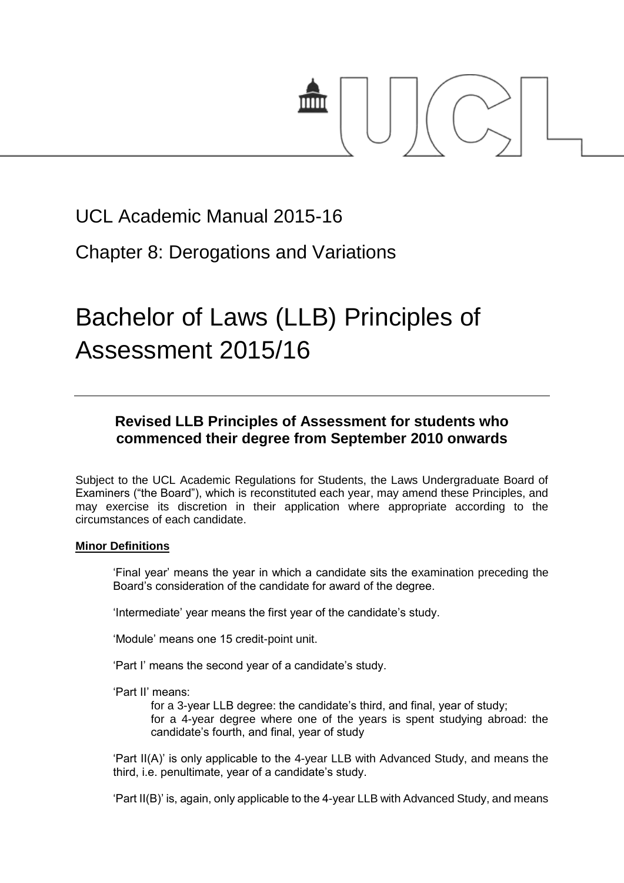

## UCL Academic Manual 2015-16

## Chapter 8: Derogations and Variations

# Bachelor of Laws (LLB) Principles of Assessment 2015/16

### **Revised LLB Principles of Assessment for students who commenced their degree from September 2010 onwards**

Subject to the UCL Academic Regulations for Students, the Laws Undergraduate Board of Examiners ("the Board"), which is reconstituted each year, may amend these Principles, and may exercise its discretion in their application where appropriate according to the circumstances of each candidate.

#### **Minor Definitions**

'Final year' means the year in which a candidate sits the examination preceding the Board's consideration of the candidate for award of the degree.

'Intermediate' year means the first year of the candidate's study.

'Module' means one 15 credit-point unit.

'Part I' means the second year of a candidate's study.

'Part II' means:

for a 3-year LLB degree: the candidate's third, and final, year of study; for a 4-year degree where one of the years is spent studying abroad: the candidate's fourth, and final, year of study

'Part II(A)' is only applicable to the 4-year LLB with Advanced Study, and means the third, i.e. penultimate, year of a candidate's study.

'Part II(B)' is, again, only applicable to the 4-year LLB with Advanced Study, and means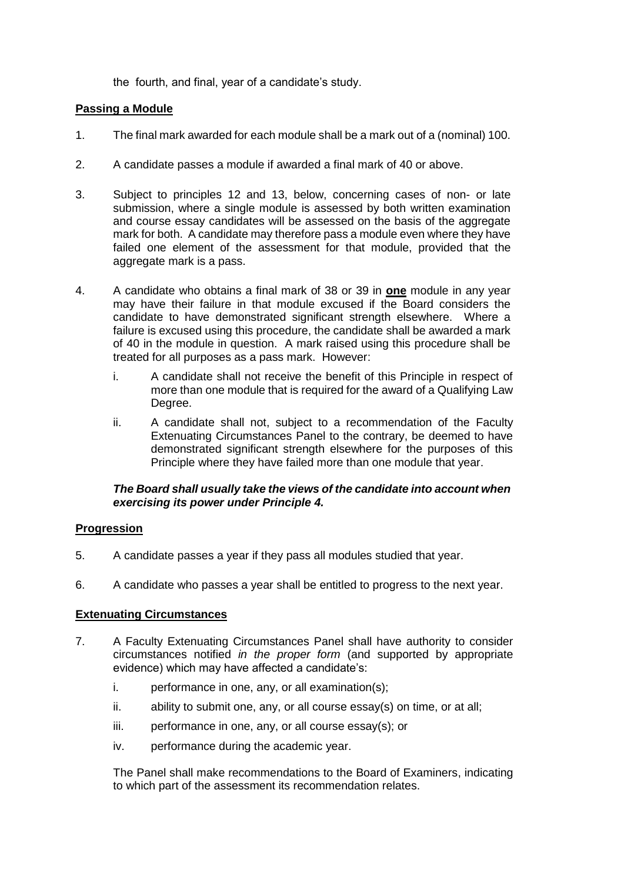the fourth, and final, year of a candidate's study.

#### **Passing a Module**

- 1. The final mark awarded for each module shall be a mark out of a (nominal) 100.
- 2. A candidate passes a module if awarded a final mark of 40 or above.
- 3. Subject to principles 12 and 13, below, concerning cases of non- or late submission, where a single module is assessed by both written examination and course essay candidates will be assessed on the basis of the aggregate mark for both. A candidate may therefore pass a module even where they have failed one element of the assessment for that module, provided that the aggregate mark is a pass.
- 4. A candidate who obtains a final mark of 38 or 39 in **one** module in any year may have their failure in that module excused if the Board considers the candidate to have demonstrated significant strength elsewhere. Where a failure is excused using this procedure, the candidate shall be awarded a mark of 40 in the module in question. A mark raised using this procedure shall be treated for all purposes as a pass mark. However:
	- i. A candidate shall not receive the benefit of this Principle in respect of more than one module that is required for the award of a Qualifying Law Degree.
	- ii. A candidate shall not, subject to a recommendation of the Faculty Extenuating Circumstances Panel to the contrary, be deemed to have demonstrated significant strength elsewhere for the purposes of this Principle where they have failed more than one module that year.

#### *The Board shall usually take the views of the candidate into account when exercising its power under Principle 4.*

#### **Progression**

- 5. A candidate passes a year if they pass all modules studied that year.
- 6. A candidate who passes a year shall be entitled to progress to the next year.

#### **Extenuating Circumstances**

- 7. A Faculty Extenuating Circumstances Panel shall have authority to consider circumstances notified *in the proper form* (and supported by appropriate evidence) which may have affected a candidate's:
	- i. performance in one, any, or all examination(s);
	- ii. ability to submit one, any, or all course essay(s) on time, or at all;
	- iii. performance in one, any, or all course essay(s); or
	- iv. performance during the academic year.

The Panel shall make recommendations to the Board of Examiners, indicating to which part of the assessment its recommendation relates.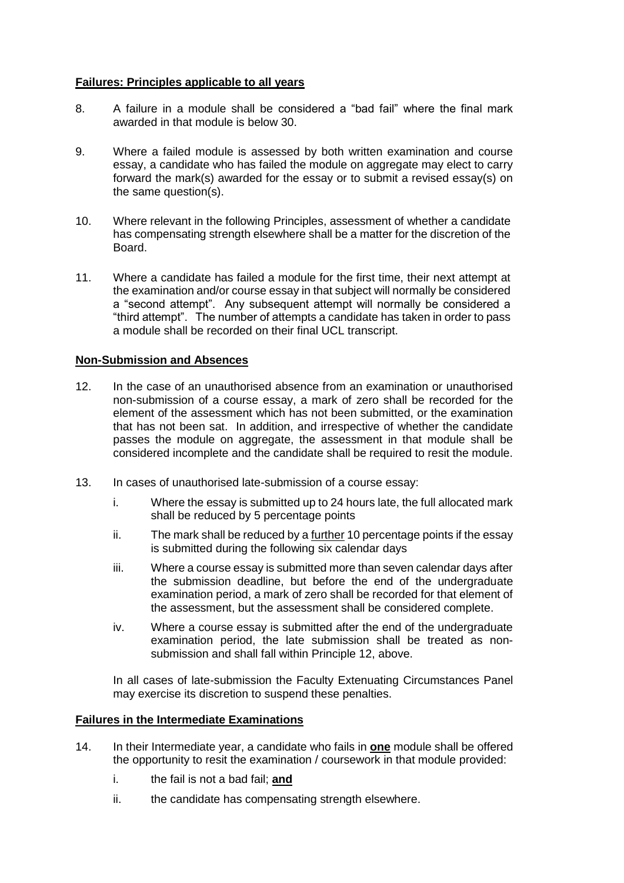#### **Failures: Principles applicable to all years**

- 8. A failure in a module shall be considered a "bad fail" where the final mark awarded in that module is below 30.
- 9. Where a failed module is assessed by both written examination and course essay, a candidate who has failed the module on aggregate may elect to carry forward the mark(s) awarded for the essay or to submit a revised essay(s) on the same question(s).
- 10. Where relevant in the following Principles, assessment of whether a candidate has compensating strength elsewhere shall be a matter for the discretion of the Board.
- 11. Where a candidate has failed a module for the first time, their next attempt at the examination and/or course essay in that subject will normally be considered a "second attempt". Any subsequent attempt will normally be considered a "third attempt". The number of attempts a candidate has taken in order to pass a module shall be recorded on their final UCL transcript.

#### **Non-Submission and Absences**

- 12. In the case of an unauthorised absence from an examination or unauthorised non-submission of a course essay, a mark of zero shall be recorded for the element of the assessment which has not been submitted, or the examination that has not been sat. In addition, and irrespective of whether the candidate passes the module on aggregate, the assessment in that module shall be considered incomplete and the candidate shall be required to resit the module.
- 13. In cases of unauthorised late-submission of a course essay:
	- i. Where the essay is submitted up to 24 hours late, the full allocated mark shall be reduced by 5 percentage points
	- ii. The mark shall be reduced by a further 10 percentage points if the essay is submitted during the following six calendar days
	- iii. Where a course essay is submitted more than seven calendar days after the submission deadline, but before the end of the undergraduate examination period, a mark of zero shall be recorded for that element of the assessment, but the assessment shall be considered complete.
	- iv. Where a course essay is submitted after the end of the undergraduate examination period, the late submission shall be treated as nonsubmission and shall fall within Principle 12, above.

In all cases of late-submission the Faculty Extenuating Circumstances Panel may exercise its discretion to suspend these penalties.

#### **Failures in the Intermediate Examinations**

- 14. In their Intermediate year, a candidate who fails in **one** module shall be offered the opportunity to resit the examination / coursework in that module provided:
	- i. the fail is not a bad fail; **and**
	- ii. the candidate has compensating strength elsewhere.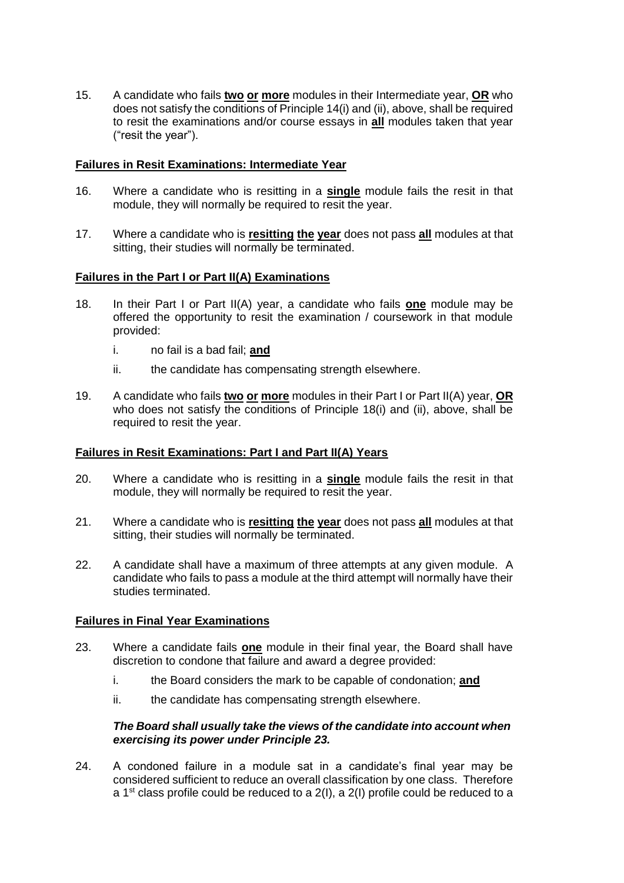15. A candidate who fails **two or more** modules in their Intermediate year, **OR** who does not satisfy the conditions of Principle 14(i) and (ii), above, shall be required to resit the examinations and/or course essays in **all** modules taken that year ("resit the year").

#### **Failures in Resit Examinations: Intermediate Year**

- 16. Where a candidate who is resitting in a **single** module fails the resit in that module, they will normally be required to resit the year.
- 17. Where a candidate who is **resitting the year** does not pass **all** modules at that sitting, their studies will normally be terminated.

#### **Failures in the Part I or Part II(A) Examinations**

- 18. In their Part I or Part II(A) year, a candidate who fails **one** module may be offered the opportunity to resit the examination / coursework in that module provided:
	- i. no fail is a bad fail; **and**
	- ii. the candidate has compensating strength elsewhere.
- 19. A candidate who fails **two or more** modules in their Part I or Part II(A) year, **OR** who does not satisfy the conditions of Principle 18(i) and (ii), above, shall be required to resit the year.

#### **Failures in Resit Examinations: Part I and Part II(A) Years**

- 20. Where a candidate who is resitting in a **single** module fails the resit in that module, they will normally be required to resit the year.
- 21. Where a candidate who is **resitting the year** does not pass **all** modules at that sitting, their studies will normally be terminated.
- 22. A candidate shall have a maximum of three attempts at any given module. A candidate who fails to pass a module at the third attempt will normally have their studies terminated.

#### **Failures in Final Year Examinations**

- 23. Where a candidate fails **one** module in their final year, the Board shall have discretion to condone that failure and award a degree provided:
	- i. the Board considers the mark to be capable of condonation; **and**
	- ii. the candidate has compensating strength elsewhere.

#### *The Board shall usually take the views of the candidate into account when exercising its power under Principle 23.*

24. A condoned failure in a module sat in a candidate's final year may be considered sufficient to reduce an overall classification by one class. Therefore a 1<sup>st</sup> class profile could be reduced to a  $2(1)$ , a  $2(1)$  profile could be reduced to a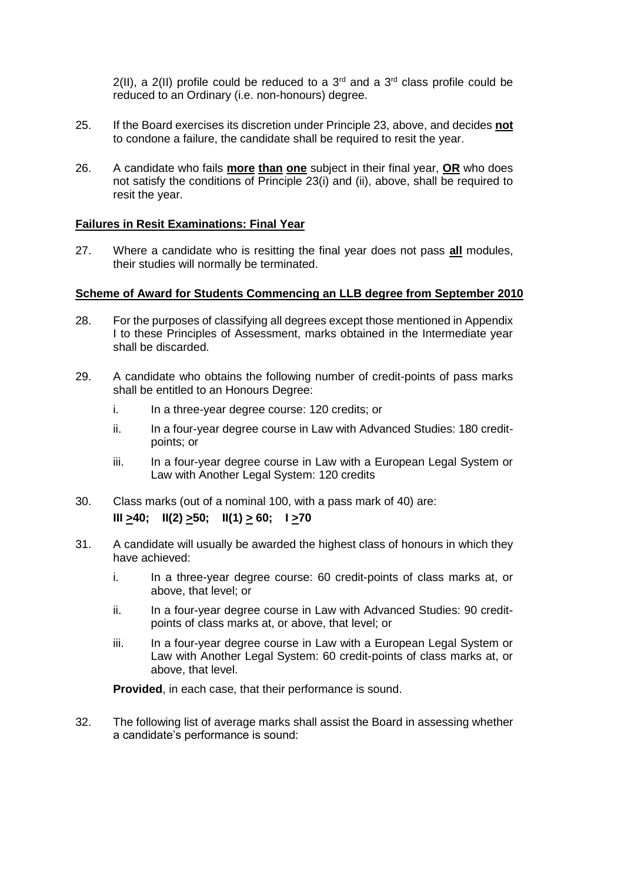$2(11)$ , a  $2(11)$  profile could be reduced to a  $3<sup>rd</sup>$  and a  $3<sup>rd</sup>$  class profile could be reduced to an Ordinary (i.e. non-honours) degree.

- 25. If the Board exercises its discretion under Principle 23, above, and decides **not** to condone a failure, the candidate shall be required to resit the year.
- 26. A candidate who fails **more than one** subject in their final year, **OR** who does not satisfy the conditions of Principle 23(i) and (ii), above, shall be required to resit the year.

#### **Failures in Resit Examinations: Final Year**

27. Where a candidate who is resitting the final year does not pass **all** modules, their studies will normally be terminated.

#### **Scheme of Award for Students Commencing an LLB degree from September 2010**

- 28. For the purposes of classifying all degrees except those mentioned in Appendix I to these Principles of Assessment, marks obtained in the Intermediate year shall be discarded.
- 29. A candidate who obtains the following number of credit-points of pass marks shall be entitled to an Honours Degree:
	- i. In a three-year degree course: 120 credits; or
	- ii. In a four-year degree course in Law with Advanced Studies: 180 creditpoints; or
	- iii. In a four-year degree course in Law with a European Legal System or Law with Another Legal System: 120 credits
- 30. Class marks (out of a nominal 100, with a pass mark of 40) are: **III**  $\geq$  40; **II**(2)  $\geq$  50; **II**(1)  $\geq$  60; **I** $\geq$ 70
- 31. A candidate will usually be awarded the highest class of honours in which they have achieved:
	- i. In a three-year degree course: 60 credit-points of class marks at, or above, that level; or
	- ii. In a four-year degree course in Law with Advanced Studies: 90 creditpoints of class marks at, or above, that level; or
	- iii. In a four-year degree course in Law with a European Legal System or Law with Another Legal System: 60 credit-points of class marks at, or above, that level.

**Provided**, in each case, that their performance is sound.

32. The following list of average marks shall assist the Board in assessing whether a candidate's performance is sound: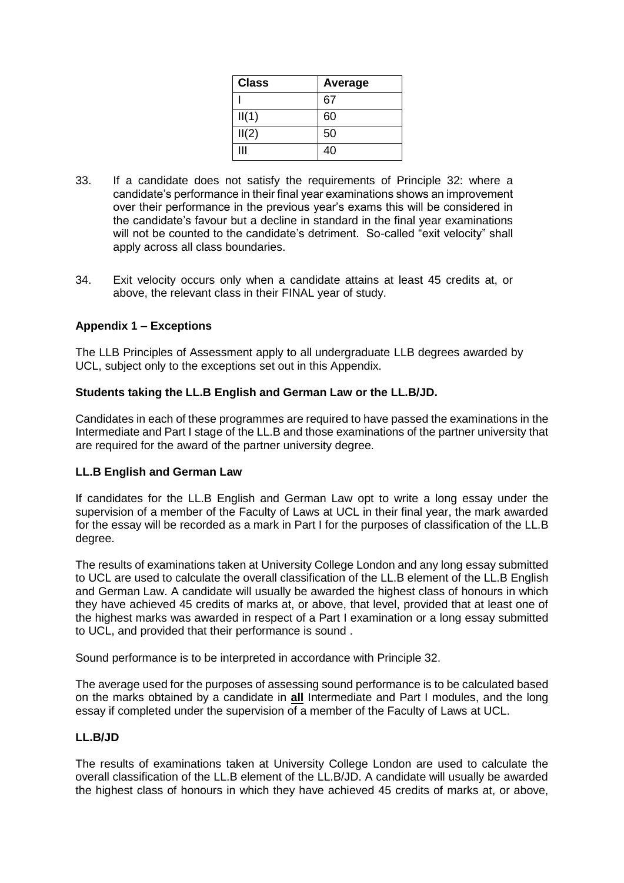| <b>Class</b> | Average |
|--------------|---------|
|              | 67      |
| II(1)        | 60      |
| II(2)        | 50      |
| Ш            | 40      |

- 33. If a candidate does not satisfy the requirements of Principle 32: where a candidate's performance in their final year examinations shows an improvement over their performance in the previous year's exams this will be considered in the candidate's favour but a decline in standard in the final year examinations will not be counted to the candidate's detriment. So-called "exit velocity" shall apply across all class boundaries.
- 34. Exit velocity occurs only when a candidate attains at least 45 credits at, or above, the relevant class in their FINAL year of study.

#### **Appendix 1 – Exceptions**

The LLB Principles of Assessment apply to all undergraduate LLB degrees awarded by UCL, subject only to the exceptions set out in this Appendix.

#### **Students taking the LL.B English and German Law or the LL.B/JD.**

Candidates in each of these programmes are required to have passed the examinations in the Intermediate and Part I stage of the LL.B and those examinations of the partner university that are required for the award of the partner university degree.

#### **LL.B English and German Law**

If candidates for the LL.B English and German Law opt to write a long essay under the supervision of a member of the Faculty of Laws at UCL in their final year, the mark awarded for the essay will be recorded as a mark in Part I for the purposes of classification of the LL.B degree.

The results of examinations taken at University College London and any long essay submitted to UCL are used to calculate the overall classification of the LL.B element of the LL.B English and German Law. A candidate will usually be awarded the highest class of honours in which they have achieved 45 credits of marks at, or above, that level, provided that at least one of the highest marks was awarded in respect of a Part I examination or a long essay submitted to UCL, and provided that their performance is sound .

Sound performance is to be interpreted in accordance with Principle 32.

The average used for the purposes of assessing sound performance is to be calculated based on the marks obtained by a candidate in **all** Intermediate and Part I modules, and the long essay if completed under the supervision of a member of the Faculty of Laws at UCL.

#### **LL.B/JD**

The results of examinations taken at University College London are used to calculate the overall classification of the LL.B element of the LL.B/JD. A candidate will usually be awarded the highest class of honours in which they have achieved 45 credits of marks at, or above,